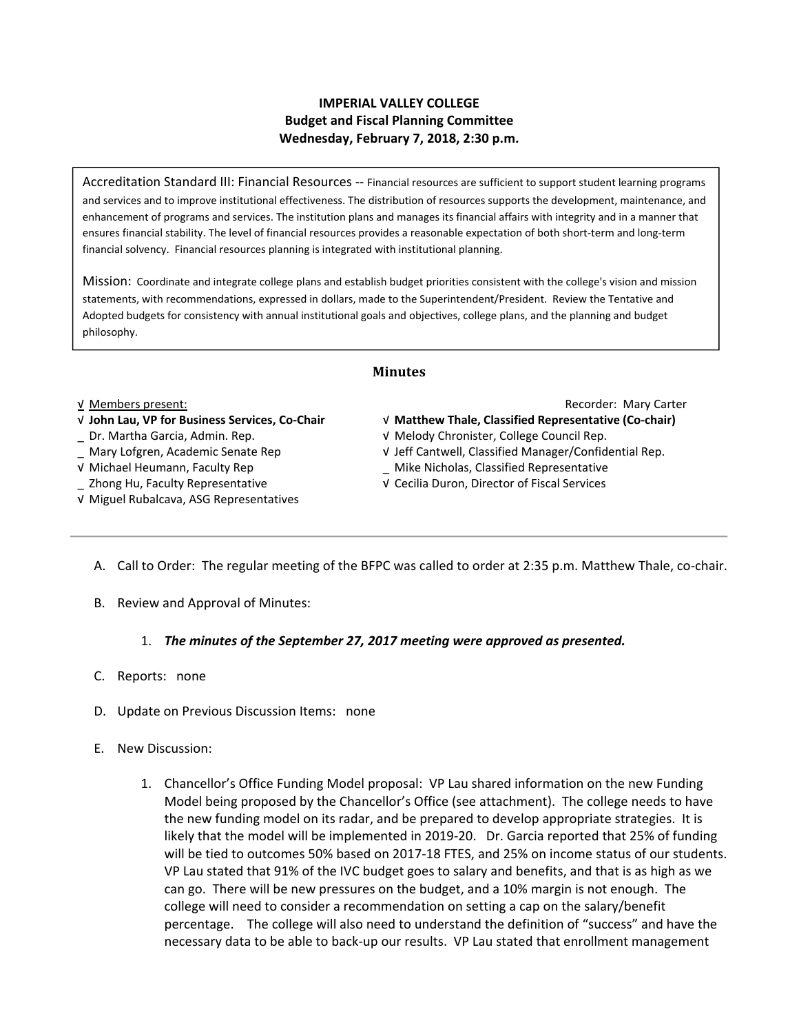## **IMPERIAL VALLEY COLLEGE Budget and Fiscal Planning Committee Wednesday, February 7, 2018, 2:30 p.m.**

Accreditation Standard III: Financial Resources ‐‐ Financial resources are sufficient to support student learning programs and services and to improve institutional effectiveness. The distribution of resources supports the development, maintenance, and enhancement of programs and services. The institution plans and manages its financial affairs with integrity and in a manner that ensures financial stability. The level of financial resources provides a reasonable expectation of both short‐term and long‐term financial solvency. Financial resources planning is integrated with institutional planning.

Mission: Coordinate and integrate college plans and establish budget priorities consistent with the college's vision and mission statements, with recommendations, expressed in dollars, made to the Superintendent/President. Review the Tentative and Adopted budgets for consistency with annual institutional goals and objectives, college plans, and the planning and budget philosophy.

### **Minutes**

- 
- 
- √ Michael Heumann, Faculty Rep \_ Mike Nicholas, Classified Representative
- 
- √ Miguel Rubalcava, ASG Representatives

√ Members present: Recorder: Mary Carter

- √ **John Lau, VP for Business Services, Co‐Chair**  √ **Matthew Thale, Classified Representative (Co‐chair)**
- \_ Dr. Martha Garcia, Admin. Rep. √ Melody Chronister, College Council Rep.
- \_ Mary Lofgren, Academic Senate Rep √ Jeff Cantwell, Classified Manager/Confidential Rep.
	-
- \_ Zhong Hu, Faculty Representative √ Cecilia Duron, Director of Fiscal Services
	- A. Call to Order: The regular meeting of the BFPC was called to order at 2:35 p.m. Matthew Thale, co-chair.
	- B. Review and Approval of Minutes:

### 1. *The minutes of the September 27, 2017 meeting were approved as presented.*

- C. Reports: none
- D. Update on Previous Discussion Items: none
- E. New Discussion:
	- 1. Chancellor's Office Funding Model proposal: VP Lau shared information on the new Funding Model being proposed by the Chancellor's Office (see attachment). The college needs to have the new funding model on its radar, and be prepared to develop appropriate strategies. It is likely that the model will be implemented in 2019‐20. Dr. Garcia reported that 25% of funding will be tied to outcomes 50% based on 2017‐18 FTES, and 25% on income status of our students. VP Lau stated that 91% of the IVC budget goes to salary and benefits, and that is as high as we can go. There will be new pressures on the budget, and a 10% margin is not enough. The college will need to consider a recommendation on setting a cap on the salary/benefit percentage. The college will also need to understand the definition of "success" and have the necessary data to be able to back‐up our results. VP Lau stated that enrollment management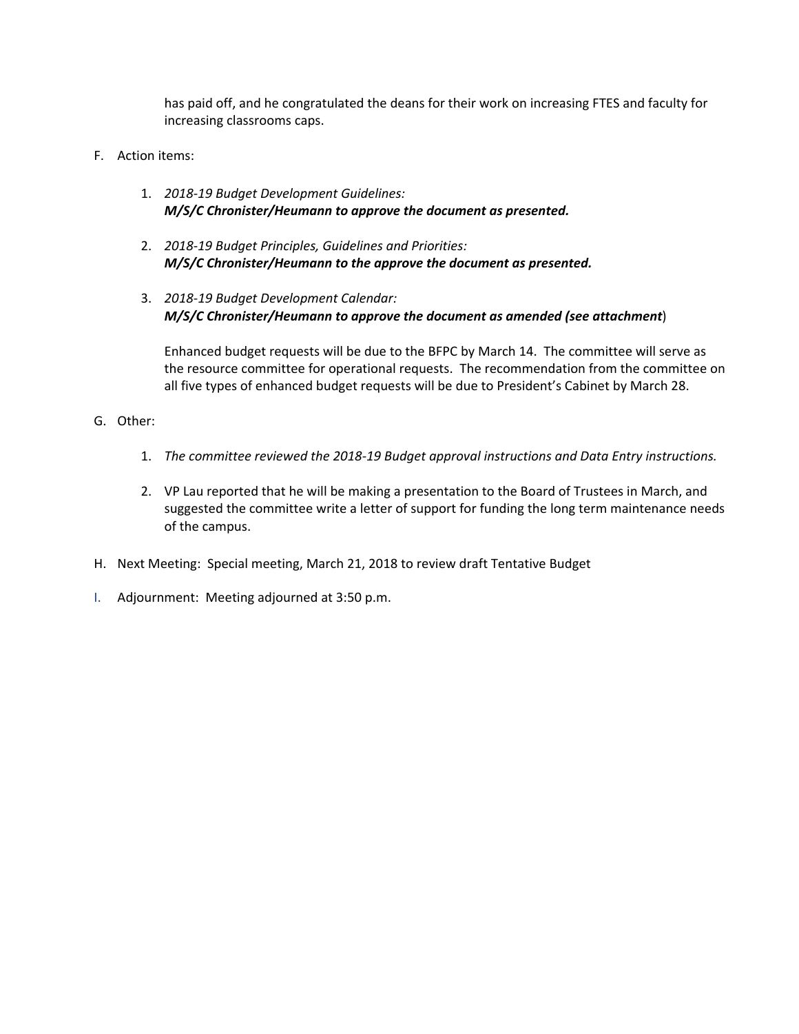has paid off, and he congratulated the deans for their work on increasing FTES and faculty for increasing classrooms caps.

- F. Action items:
	- 1. *2018‐19 Budget Development Guidelines: M/S/C Chronister/Heumann to approve the document as presented.*
	- 2. *2018‐19 Budget Principles, Guidelines and Priorities: M/S/C Chronister/Heumann to the approve the document as presented.*
	- 3. *2018‐19 Budget Development Calendar: M/S/C Chronister/Heumann to approve the document as amended (see attachment*)

Enhanced budget requests will be due to the BFPC by March 14. The committee will serve as the resource committee for operational requests. The recommendation from the committee on all five types of enhanced budget requests will be due to President's Cabinet by March 28.

- G. Other:
	- 1. *The committee reviewed the 2018‐19 Budget approval instructions and Data Entry instructions.*
	- 2. VP Lau reported that he will be making a presentation to the Board of Trustees in March, and suggested the committee write a letter of support for funding the long term maintenance needs of the campus.
- H. Next Meeting: Special meeting, March 21, 2018 to review draft Tentative Budget
- I. Adjournment: Meeting adjourned at 3:50 p.m.